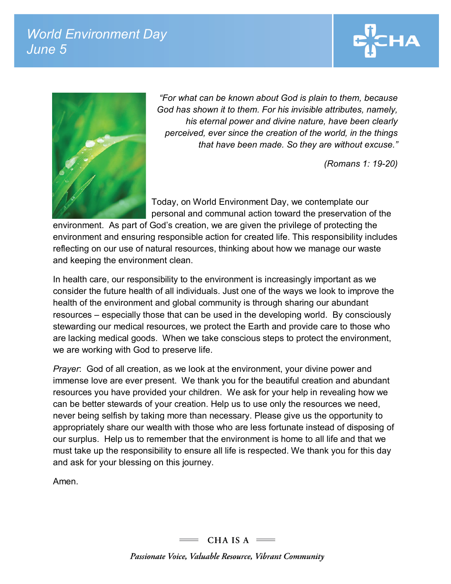## *World Environment Day June 5*





*"For what can be known about God is plain to them, because God has shown it to them. For his invisible attributes, namely, his eternal power and divine nature, have been clearly perceived, ever since the creation of the world, in the things that have been made. So they are without excuse."* 

*(Romans 1: 19-20)*

Today, on World Environment Day, we contemplate our personal and communal action toward the preservation of the

environment. As part of God's creation, we are given the privilege of protecting the environment and ensuring responsible action for created life. This responsibility includes reflecting on our use of natural resources, thinking about how we manage our waste and keeping the environment clean.

In health care, our responsibility to the environment is increasingly important as we consider the future health of all individuals. Just one of the ways we look to improve the health of the environment and global community is through sharing our abundant resources – especially those that can be used in the developing world. By consciously stewarding our medical resources, we protect the Earth and provide care to those who are lacking medical goods. When we take conscious steps to protect the environment, we are working with God to preserve life.

*Prayer*: God of all creation, as we look at the environment, your divine power and immense love are ever present. We thank you for the beautiful creation and abundant resources you have provided your children. We ask for your help in revealing how we can be better stewards of your creation. Help us to use only the resources we need, never being selfish by taking more than necessary. Please give us the opportunity to appropriately share our wealth with those who are less fortunate instead of disposing of our surplus. Help us to remember that the environment is home to all life and that we must take up the responsibility to ensure all life is respected. We thank you for this day and ask for your blessing on this journey.

Amen.